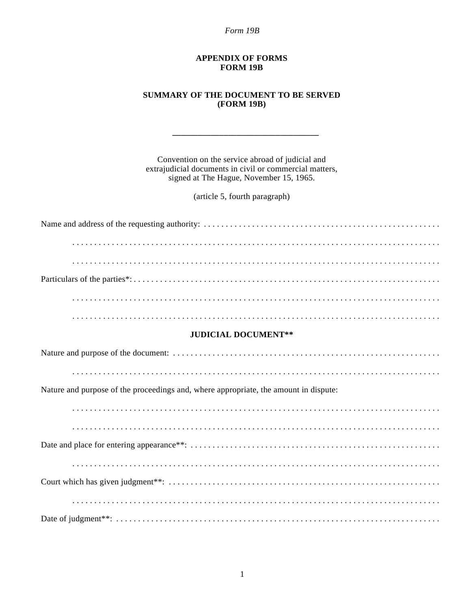Form 19B

## **APPENDIX OF FORMS FORM 19B**

## **SUMMARY OF THE DOCUMENT TO BE SERVED (FORM 19B)**

Convention on the service abroad of judicial and extrajudicial documents in civil or commercial matters, signed at The Hague, November 15, 1965.

(article 5, fourth paragraph)

## **JUDICIAL DOCUMENT\*\***

Nature and purpose of the proceedings and, where appropriate, the amount in dispute: